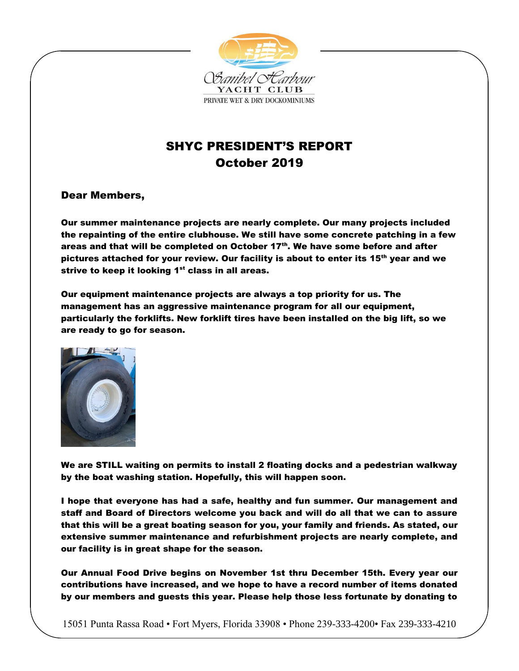

# SHYC PRESIDENT'S REPORT October 2019

## Dear Members,

Our summer maintenance projects are nearly complete. Our many projects included the repainting of the entire clubhouse. We still have some concrete patching in a few areas and that will be completed on October  $17<sup>th</sup>$ . We have some before and after pictures attached for your review. Our facility is about to enter its 15<sup>th</sup> year and we strive to keep it looking  $1<sup>st</sup>$  class in all areas.

Our equipment maintenance projects are always a top priority for us. The management has an aggressive maintenance program for all our equipment, particularly the forklifts. New forklift tires have been installed on the big lift, so we are ready to go for season.



We are STILL waiting on permits to install 2 floating docks and a pedestrian walkway by the boat washing station. Hopefully, this will happen soon.

I hope that everyone has had a safe, healthy and fun summer. Our management and staff and Board of Directors welcome you back and will do all that we can to assure that this will be a great boating season for you, your family and friends. As stated, our extensive summer maintenance and refurbishment projects are nearly complete, and our facility is in great shape for the season.

Our Annual Food Drive begins on November 1st thru December 15th. Every year our contributions have increased, and we hope to have a record number of items donated by our members and guests this year. Please help those less fortunate by donating to

15051 Punta Rassa Road • Fort Myers, Florida 33908 • Phone 239-333-4200• Fax 239-333-4210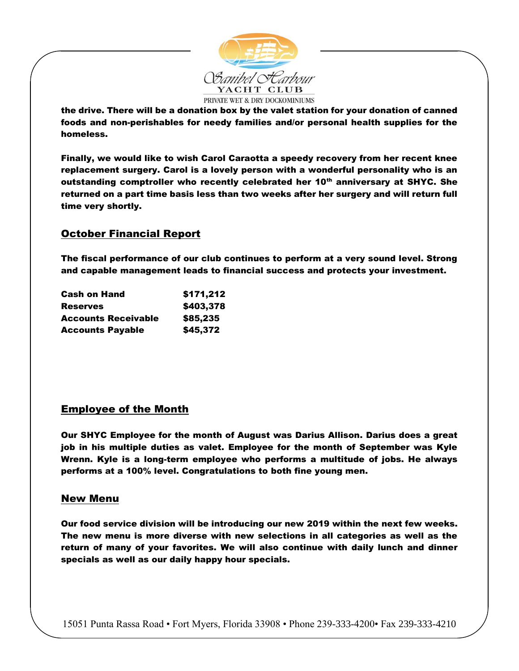

the drive. There will be a donation box by the valet station for your donation of canned foods and non-perishables for needy families and/or personal health supplies for the homeless.

Finally, we would like to wish Carol Caraotta a speedy recovery from her recent knee replacement surgery. Carol is a lovely person with a wonderful personality who is an outstanding comptroller who recently celebrated her 10<sup>th</sup> anniversary at SHYC. She returned on a part time basis less than two weeks after her surgery and will return full time very shortly.

## October Financial Report

The fiscal performance of our club continues to perform at a very sound level. Strong and capable management leads to financial success and protects your investment.

| <b>Cash on Hand</b><br><b>Reserves</b> | \$171,212<br>\$403,378 |
|----------------------------------------|------------------------|
|                                        |                        |
| <b>Accounts Payable</b>                | \$45,372               |

### Employee of the Month

Our SHYC Employee for the month of August was Darius Allison. Darius does a great job in his multiple duties as valet. Employee for the month of September was Kyle Wrenn. Kyle is a long-term employee who performs a multitude of jobs. He always performs at a 100% level. Congratulations to both fine young men.

#### New Menu

Our food service division will be introducing our new 2019 within the next few weeks. The new menu is more diverse with new selections in all categories as well as the return of many of your favorites. We will also continue with daily lunch and dinner specials as well as our daily happy hour specials.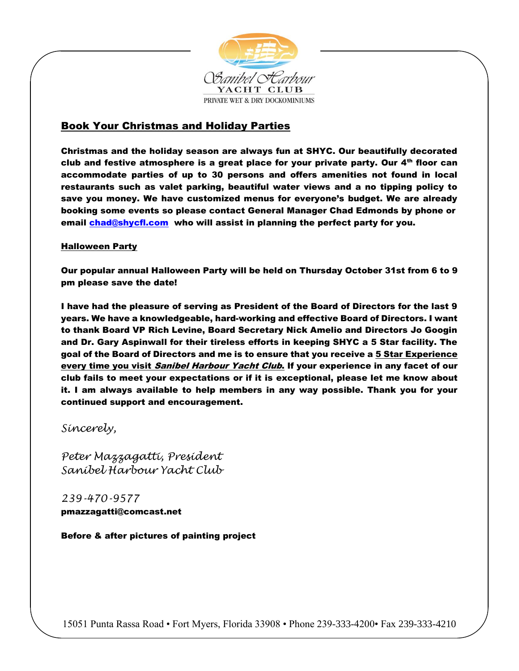

# Book Your Christmas and Holiday Parties

Christmas and the holiday season are always fun at SHYC. Our beautifully decorated club and festive atmosphere is a great place for your private party. Our  $4<sup>th</sup>$  floor can accommodate parties of up to 30 persons and offers amenities not found in local restaurants such as valet parking, beautiful water views and a no tipping policy to save you money. We have customized menus for everyone's budget. We are already booking some events so please contact General Manager Chad Edmonds by phone or email [chad@shycfl.com](mailto:chad@shycfl.com) who will assist in planning the perfect party for you.

#### **Halloween Party**

Our popular annual Halloween Party will be held on Thursday October 31st from 6 to 9 pm please save the date!

I have had the pleasure of serving as President of the Board of Directors for the last 9 years. We have a knowledgeable, hard-working and effective Board of Directors. I want to thank Board VP Rich Levine, Board Secretary Nick Amelio and Directors Jo Googin and Dr. Gary Aspinwall for their tireless efforts in keeping SHYC a 5 Star facility. The goal of the Board of Directors and me is to ensure that you receive a 5 Star Experience every time you visit Sanibel Harbour Yacht Club. If your experience in any facet of our club fails to meet your expectations or if it is exceptional, please let me know about it. I am always available to help members in any way possible. Thank you for your continued support and encouragement.

*Sincerely,* 

*Peter Mazzagatti, President Sanibel Harbour Yacht Club*

*239-470-9577* pmazzagatti@comcast.net

Before & after pictures of painting project

15051 Punta Rassa Road • Fort Myers, Florida 33908 • Phone 239-333-4200• Fax 239-333-4210